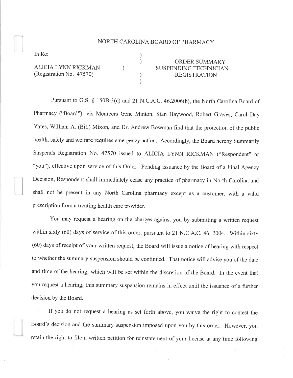## NORTH CAROLINA BOARD OF PHARMACY

) )

) )

)

In Re:

ALICIA LYNN RICKMAN (Registration No. 47570)

## ORDER SUMMARY SUSPENDING TECHNICIAN REGISTRATION

Pursuant to G.S. \$ 1508-3(c) and 2l N.C.A.C. 46.2006(b), the North Carolina Board of Pharmacy ("Board"), vis Members Gene Minton, Stan Haywood, Robert Graves, Carol Day Yates, William A. (Bill) Mixon, and Dr. Andrew Bowman find that the protection of the public health, safety and welfare requires emergency action. Accordingly, the Board hereby Summarily Suspends Registration No. 47570 issued to ALICIA LYNN RICKMAN ("Respondent" or "you"), effective upon service of this Order. Pending issuance by the Board of a Final Agency Decision, Respondent shall immediately cease any practice of pharmacy in North Carolina and shall not be present in any North Carolina pharmacy except as a customer, with a valid prescription from a treating health care provider.

You may request a hearing on the charges against you by submitting a written request within sixty (60) days of service of this order, pursuant to 21 N.C.A.C. 46. 2004. Within sixty (60) days of receipt of your written request, the Board will issue a notice of hearing with respect to whether the summary suspension should be continued. That notice will advise you of the date and time of the hearing, which will be set within the discretion of the Board. In the event that you request a hearing, this summary suspension remains in effect until the issuance of a further decision by the Board.

If you do not request a hearing as set forth above, you waive the right to contest the Board's decision and the summary suspension imposed upon you by this order. However, you retain the right to file a written petition for reinstatement of your license at any time following